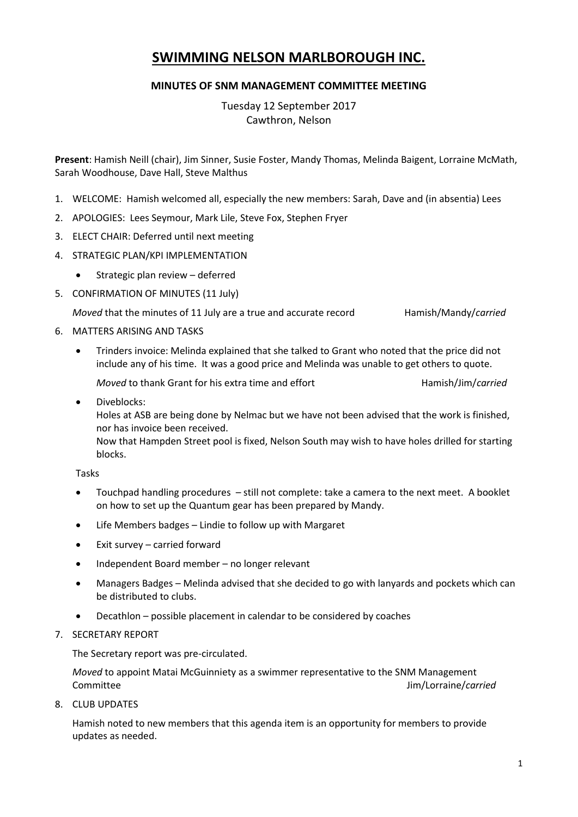# **SWIMMING NELSON MARLBOROUGH INC.**

# **MINUTES OF SNM MANAGEMENT COMMITTEE MEETING**

Tuesday 12 September 2017 Cawthron, Nelson

**Present**: Hamish Neill (chair), Jim Sinner, Susie Foster, Mandy Thomas, Melinda Baigent, Lorraine McMath, Sarah Woodhouse, Dave Hall, Steve Malthus

- 1. WELCOME: Hamish welcomed all, especially the new members: Sarah, Dave and (in absentia) Lees
- 2. APOLOGIES: Lees Seymour, Mark Lile, Steve Fox, Stephen Fryer
- 3. ELECT CHAIR: Deferred until next meeting
- 4. STRATEGIC PLAN/KPI IMPLEMENTATION
	- Strategic plan review deferred
- 5. CONFIRMATION OF MINUTES (11 July)

*Moved* that the minutes of 11 July are a true and accurate record Hamish/Mandy/*carried* 

#### 6. MATTERS ARISING AND TASKS

 Trinders invoice: Melinda explained that she talked to Grant who noted that the price did not include any of his time. It was a good price and Melinda was unable to get others to quote.

*Moved* to thank Grant for his extra time and effort **Hamish/Jim/***carried* 

 Diveblocks: Holes at ASB are being done by Nelmac but we have not been advised that the work is finished, nor has invoice been received. Now that Hampden Street pool is fixed, Nelson South may wish to have holes drilled for starting

Tasks

blocks.

- Touchpad handling procedures still not complete: take a camera to the next meet. A booklet on how to set up the Quantum gear has been prepared by Mandy.
- Life Members badges Lindie to follow up with Margaret
- Exit survey carried forward
- Independent Board member no longer relevant
- Managers Badges Melinda advised that she decided to go with lanyards and pockets which can be distributed to clubs.
- Decathlon possible placement in calendar to be considered by coaches
- 7. SECRETARY REPORT

The Secretary report was pre-circulated.

*Moved* to appoint Matai McGuinniety as a swimmer representative to the SNM Management Committee Jim/Lorraine/*carried*

8. CLUB UPDATES

Hamish noted to new members that this agenda item is an opportunity for members to provide updates as needed.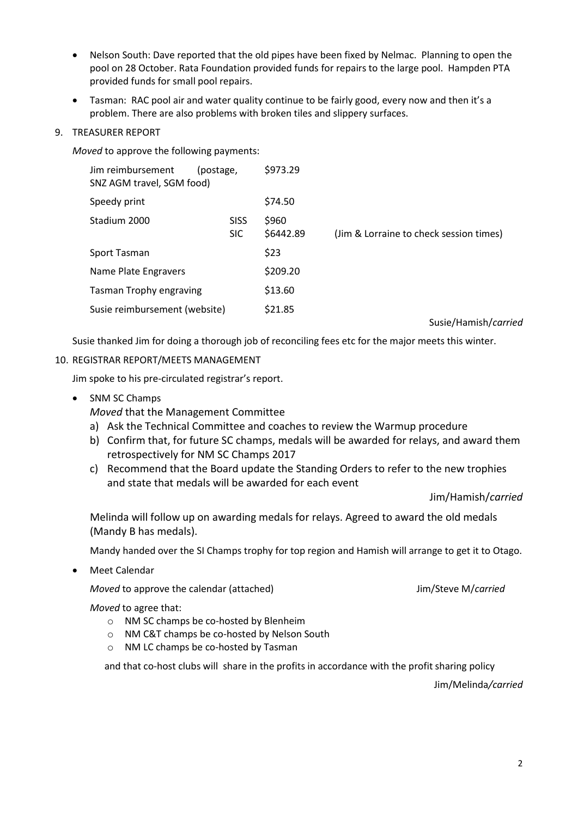- Nelson South: Dave reported that the old pipes have been fixed by Nelmac. Planning to open the pool on 28 October. Rata Foundation provided funds for repairs to the large pool. Hampden PTA provided funds for small pool repairs.
- Tasman: RAC pool air and water quality continue to be fairly good, every now and then it's a problem. There are also problems with broken tiles and slippery surfaces.
- 9. TREASURER REPORT

*Moved* to approve the following payments:

| Jim reimbursement<br>(postage,<br>SNZ AGM travel, SGM food) |                           | \$973.29           |                                         |
|-------------------------------------------------------------|---------------------------|--------------------|-----------------------------------------|
| Speedy print                                                |                           | \$74.50            |                                         |
| Stadium 2000                                                | <b>SISS</b><br><b>SIC</b> | \$960<br>\$6442.89 | (Jim & Lorraine to check session times) |
| Sport Tasman                                                |                           | \$23               |                                         |
| Name Plate Engravers                                        |                           | \$209.20           |                                         |
| <b>Tasman Trophy engraving</b>                              |                           | \$13.60            |                                         |
| Susie reimbursement (website)                               |                           | \$21.85            |                                         |

Susie/Hamish/*carried*

Susie thanked Jim for doing a thorough job of reconciling fees etc for the major meets this winter.

# 10. REGISTRAR REPORT/MEETS MANAGEMENT

Jim spoke to his pre-circulated registrar's report.

• SNM SC Champs

*Moved* that the Management Committee

- a) Ask the Technical Committee and coaches to review the Warmup procedure
- b) Confirm that, for future SC champs, medals will be awarded for relays, and award them retrospectively for NM SC Champs 2017
- c) Recommend that the Board update the Standing Orders to refer to the new trophies and state that medals will be awarded for each event

Jim/Hamish/*carried*

Melinda will follow up on awarding medals for relays. Agreed to award the old medals (Mandy B has medals).

Mandy handed over the SI Champs trophy for top region and Hamish will arrange to get it to Otago.

Meet Calendar

*Moved* to approve the calendar (attached) Moved to approve the calendar (attached) Jim/Steve M/*carried* 

*Moved* to agree that:

- o NM SC champs be co-hosted by Blenheim
- o NM C&T champs be co-hosted by Nelson South
- o NM LC champs be co-hosted by Tasman

and that co-host clubs will share in the profits in accordance with the profit sharing policy

Jim/Melinda*/carried*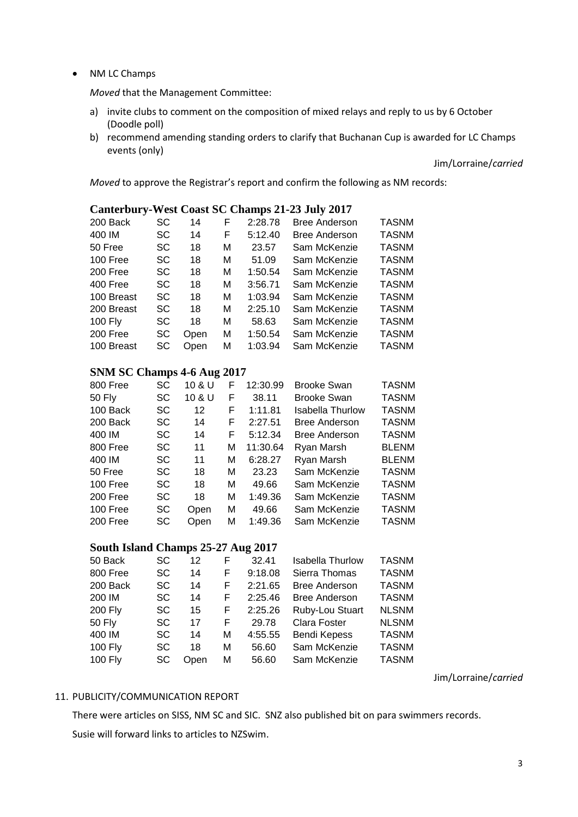#### NM LC Champs

*Moved* that the Management Committee:

- a) invite clubs to comment on the composition of mixed relays and reply to us by 6 October (Doodle poll)
- b) recommend amending standing orders to clarify that Buchanan Cup is awarded for LC Champs events (only)

Jim/Lorraine/*carried*

*Moved* to approve the Registrar's report and confirm the following as NM records:

# **Canterbury-West Coast SC Champs 21-23 July 2017**

| 200 Back       | SC  | 14   | F | 2:28.78 | <b>Bree Anderson</b> | <b>TASNM</b> |
|----------------|-----|------|---|---------|----------------------|--------------|
| 400 IM         | SC  | 14   | F | 5:12.40 | <b>Bree Anderson</b> | <b>TASNM</b> |
| 50 Free        | SC  | 18   | м | 23.57   | Sam McKenzie         | <b>TASNM</b> |
| 100 Free       | SC. | 18   | м | 51.09   | Sam McKenzie         | <b>TASNM</b> |
| 200 Free       | SC. | 18   | м | 1:50.54 | Sam McKenzie         | <b>TASNM</b> |
| 400 Free       | SC. | 18   | М | 3:56.71 | Sam McKenzie         | <b>TASNM</b> |
| 100 Breast     | SC. | 18   | М | 1:03.94 | Sam McKenzie         | <b>TASNM</b> |
| 200 Breast     | SC. | 18   | м | 2:25.10 | Sam McKenzie         | <b>TASNM</b> |
| <b>100 Fly</b> | SC  | 18   | м | 58.63   | Sam McKenzie         | <b>TASNM</b> |
| 200 Free       | SC  | Open | м | 1:50.54 | Sam McKenzie         | <b>TASNM</b> |
| 100 Breast     | SC  | Open | м | 1:03.94 | Sam McKenzie         | <b>TASNM</b> |
|                |     |      |   |         |                      |              |

# **SNM SC Champs 4-6 Aug 2017**

| 800 Free | SC        | 10 & U            | F | 12:30.99 | <b>Brooke Swan</b>      | <b>TASNM</b> |
|----------|-----------|-------------------|---|----------|-------------------------|--------------|
| 50 Fly   | <b>SC</b> | 10 & U            | F | 38.11    | <b>Brooke Swan</b>      | <b>TASNM</b> |
| 100 Back | <b>SC</b> | $12 \overline{ }$ | F | 1:11.81  | <b>Isabella Thurlow</b> | <b>TASNM</b> |
| 200 Back | <b>SC</b> | 14                | F | 2:27.51  | <b>Bree Anderson</b>    | <b>TASNM</b> |
| 400 IM   | SC.       | 14                | F | 5:12.34  | <b>Bree Anderson</b>    | <b>TASNM</b> |
| 800 Free | <b>SC</b> | 11                | М | 11:30.64 | Ryan Marsh              | <b>BLENM</b> |
| 400 IM   | <b>SC</b> | 11                | М | 6:28.27  | Ryan Marsh              | <b>BLENM</b> |
| 50 Free  | <b>SC</b> | 18                | М | 23.23    | Sam McKenzie            | <b>TASNM</b> |
| 100 Free | <b>SC</b> | 18                | М | 49.66    | Sam McKenzie            | <b>TASNM</b> |
| 200 Free | <b>SC</b> | 18                | М | 1:49.36  | Sam McKenzie            | <b>TASNM</b> |
| 100 Free | <b>SC</b> | Open              | М | 49.66    | Sam McKenzie            | <b>TASNM</b> |
| 200 Free | SC        | Open              | М | 1:49.36  | Sam McKenzie            | <b>TASNM</b> |

### **South Island Champs 25-27 Aug 2017**

| SC        | 12   | F | 32.41   | <b>Isabella Thurlow</b> | <b>TASNM</b> |
|-----------|------|---|---------|-------------------------|--------------|
| <b>SC</b> | 14   | F | 9:18.08 | Sierra Thomas           | <b>TASNM</b> |
| SC        | 14   | F | 2:21.65 | <b>Bree Anderson</b>    | <b>TASNM</b> |
| <b>SC</b> | 14   | F | 2:25.46 | <b>Bree Anderson</b>    | <b>TASNM</b> |
| <b>SC</b> | 15   | F | 2:25.26 | Ruby-Lou Stuart         | <b>NLSNM</b> |
| <b>SC</b> | 17   | F | 29.78   | Clara Foster            | <b>NLSNM</b> |
| <b>SC</b> | 14   | м | 4:55.55 | <b>Bendi Kepess</b>     | <b>TASNM</b> |
| SC        | 18   | м | 56.60   | Sam McKenzie            | <b>TASNM</b> |
| SC        | Open | м | 56.60   | Sam McKenzie            | <b>TASNM</b> |
|           |      |   |         |                         |              |

Jim/Lorraine/*carried*

#### 11. PUBLICITY/COMMUNICATION REPORT

There were articles on SISS, NM SC and SIC. SNZ also published bit on para swimmers records. Susie will forward links to articles to NZSwim.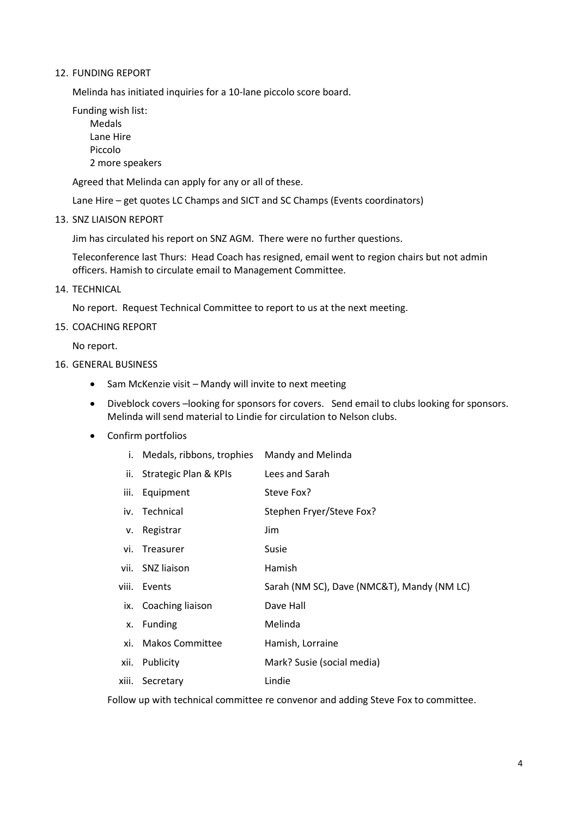#### 12. FUNDING REPORT

Melinda has initiated inquiries for a 10-lane piccolo score board.

Funding wish list:

Medals Lane Hire Piccolo 2 more speakers

Agreed that Melinda can apply for any or all of these.

Lane Hire – get quotes LC Champs and SICT and SC Champs (Events coordinators)

13. SNZ LIAISON REPORT

Jim has circulated his report on SNZ AGM. There were no further questions.

Teleconference last Thurs: Head Coach has resigned, email went to region chairs but not admin officers. Hamish to circulate email to Management Committee.

14. TECHNICAL

No report. Request Technical Committee to report to us at the next meeting.

15. COACHING REPORT

No report.

- 16. GENERAL BUSINESS
	- Sam McKenzie visit Mandy will invite to next meeting
	- Diveblock covers –looking for sponsors for covers. Send email to clubs looking for sponsors. Melinda will send material to Lindie for circulation to Nelson clubs.
	- Confirm portfolios

|       | i. Medals, ribbons, trophies | Mandy and Melinda                          |
|-------|------------------------------|--------------------------------------------|
| ii.   | Strategic Plan & KPIs        | Lees and Sarah                             |
| iii.  | Equipment                    | Steve Fox?                                 |
|       | iv. Technical                | Stephen Fryer/Steve Fox?                   |
| V.    | Registrar                    | Jim                                        |
|       | vi. Treasurer                | Susie                                      |
|       | vii. SNZ liaison             | Hamish                                     |
|       | viii. Events                 | Sarah (NM SC), Dave (NMC&T), Mandy (NM LC) |
|       | ix. Coaching liaison         | Dave Hall                                  |
| X.    | <b>Funding</b>               | Melinda                                    |
| xi.   | <b>Makos Committee</b>       | Hamish, Lorraine                           |
| xii.  | Publicity                    | Mark? Susie (social media)                 |
| xiii. | Secretary                    | Lindie                                     |

Follow up with technical committee re convenor and adding Steve Fox to committee.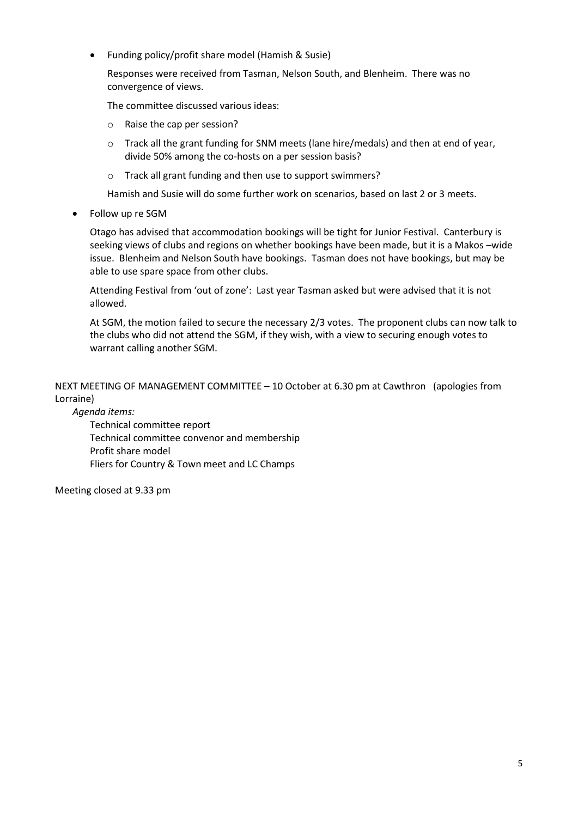Funding policy/profit share model (Hamish & Susie)

Responses were received from Tasman, Nelson South, and Blenheim. There was no convergence of views.

The committee discussed various ideas:

- o Raise the cap per session?
- o Track all the grant funding for SNM meets (lane hire/medals) and then at end of year, divide 50% among the co-hosts on a per session basis?
- o Track all grant funding and then use to support swimmers?

Hamish and Susie will do some further work on scenarios, based on last 2 or 3 meets.

Follow up re SGM

Otago has advised that accommodation bookings will be tight for Junior Festival. Canterbury is seeking views of clubs and regions on whether bookings have been made, but it is a Makos –wide issue. Blenheim and Nelson South have bookings. Tasman does not have bookings, but may be able to use spare space from other clubs.

Attending Festival from 'out of zone': Last year Tasman asked but were advised that it is not allowed.

At SGM, the motion failed to secure the necessary 2/3 votes. The proponent clubs can now talk to the clubs who did not attend the SGM, if they wish, with a view to securing enough votes to warrant calling another SGM.

NEXT MEETING OF MANAGEMENT COMMITTEE – 10 October at 6.30 pm at Cawthron (apologies from Lorraine)

*Agenda items:*

Technical committee report Technical committee convenor and membership Profit share model Fliers for Country & Town meet and LC Champs

Meeting closed at 9.33 pm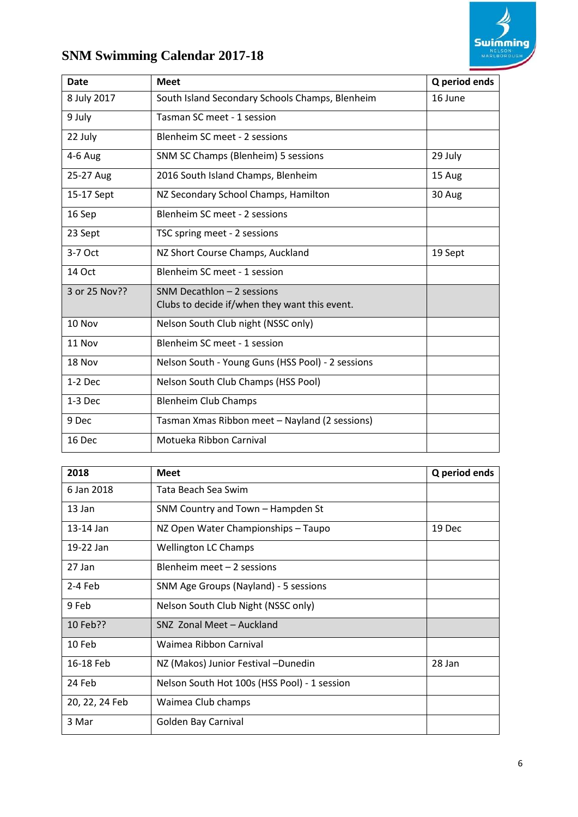

# **SNM Swimming Calendar 2017-18**

| <b>Date</b>   | <b>Meet</b>                                       | Q period ends |
|---------------|---------------------------------------------------|---------------|
| 8 July 2017   | South Island Secondary Schools Champs, Blenheim   | 16 June       |
| 9 July        | Tasman SC meet - 1 session                        |               |
| 22 July       | Blenheim SC meet - 2 sessions                     |               |
| 4-6 Aug       | SNM SC Champs (Blenheim) 5 sessions               | 29 July       |
| 25-27 Aug     | 2016 South Island Champs, Blenheim                | 15 Aug        |
| 15-17 Sept    | NZ Secondary School Champs, Hamilton              | 30 Aug        |
| 16 Sep        | Blenheim SC meet - 2 sessions                     |               |
| 23 Sept       | TSC spring meet - 2 sessions                      |               |
| 3-7 Oct       | NZ Short Course Champs, Auckland                  | 19 Sept       |
| <b>14 Oct</b> | Blenheim SC meet - 1 session                      |               |
| 3 or 25 Nov?? | SNM Decathlon $-2$ sessions                       |               |
|               | Clubs to decide if/when they want this event.     |               |
| 10 Nov        | Nelson South Club night (NSSC only)               |               |
| 11 Nov        | Blenheim SC meet - 1 session                      |               |
| 18 Nov        | Nelson South - Young Guns (HSS Pool) - 2 sessions |               |
| $1-2$ Dec     | Nelson South Club Champs (HSS Pool)               |               |
| $1-3$ Dec     | <b>Blenheim Club Champs</b>                       |               |
| 9 Dec         | Tasman Xmas Ribbon meet - Nayland (2 sessions)    |               |
| 16 Dec        | Motueka Ribbon Carnival                           |               |

| 2018           | <b>Meet</b>                                  | Q period ends |
|----------------|----------------------------------------------|---------------|
| 6 Jan 2018     | Tata Beach Sea Swim                          |               |
| 13 Jan         | SNM Country and Town - Hampden St            |               |
| 13-14 Jan      | NZ Open Water Championships - Taupo          | 19 Dec        |
| 19-22 Jan      | <b>Wellington LC Champs</b>                  |               |
| 27 Jan         | Blenheim meet - 2 sessions                   |               |
| $2-4$ Feb      | SNM Age Groups (Nayland) - 5 sessions        |               |
| 9 Feb          | Nelson South Club Night (NSSC only)          |               |
| 10 Feb??       | SNZ Zonal Meet - Auckland                    |               |
| 10 Feb         | Waimea Ribbon Carnival                       |               |
| 16-18 Feb      | NZ (Makos) Junior Festival - Dunedin         | 28 Jan        |
| 24 Feb         | Nelson South Hot 100s (HSS Pool) - 1 session |               |
| 20, 22, 24 Feb | Waimea Club champs                           |               |
| 3 Mar          | Golden Bay Carnival                          |               |